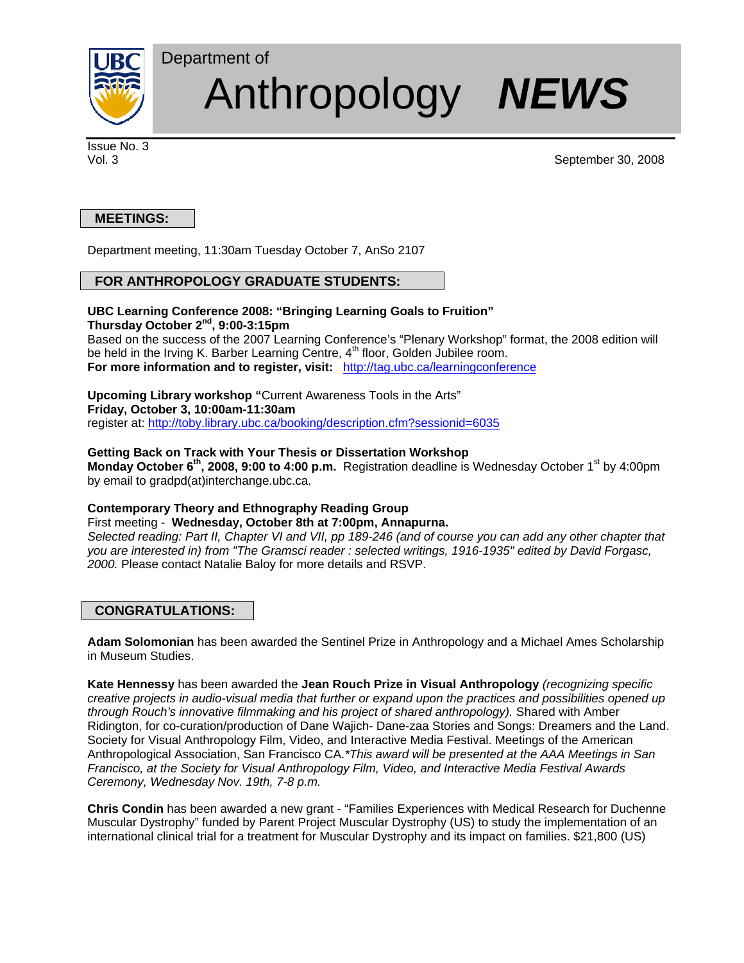

# Anthropology *N NEWS*

Issue No. 3

Vol. 3 September 30, 2008

# **MEETINGS:**

Department meeting, 11:30am Tuesday October 7, AnSo 2107

# **FOR ANTHROPOLOGY GRADUATE STUDENTS:**

Department of

## **UBC Learning Conference 2008: "Bringing Learning Goals to Fruition" Thursday October 2nd, 9:00-3:15pm**

Based on the success of the 2007 Learning Conference's "Plenary Workshop" format, the 2008 edition will be held in the Irving K. Barber Learning Centre, 4<sup>th</sup> floor, Golden Jubilee room. **For more information and to register, visit:** <http://tag.ubc.ca/learningconference>

**Upcoming Library workshop "**Current Awareness Tools in the Arts" **Friday, October 3, 10:00am-11:30am** register at:<http://toby.library.ubc.ca/booking/description.cfm?sessionid=6035>

## **Getting Back on Track with Your Thesis or Dissertation Workshop**

**Monday October 6<sup>th</sup>, 2008, 9:00 to 4:00 p.m.** Registration deadline is Wednesday October 1<sup>st</sup> by 4:00pm by email to gradpd(at)interchange.ubc.ca.

#### **Contemporary Theory and Ethnography Reading Group**

First meeting - **Wednesday, October 8th at 7:00pm, Annapurna.** 

*Selected reading: Part II, Chapter VI and VII, pp 189-246 (and of course you can add any other chapter that you are interested in) from "The Gramsci reader : selected writings, 1916-1935" edited by David Forgasc, 2000.* Please contact Natalie Baloy for more details and RSVP.

## **CONGRATULATIONS:**

**Adam Solomonian** has been awarded the Sentinel Prize in Anthropology and a Michael Ames Scholarship in Museum Studies.

**Kate Hennessy** has been awarded the **Jean Rouch Prize in Visual Anthropology** *(recognizing specific creative projects in audio-visual media that further or expand upon the practices and possibilities opened up through Rouch's innovative filmmaking and his project of shared anthropology).* Shared with Amber Ridington, for co-curation/production of Dane Wajich- Dane-zaa Stories and Songs: Dreamers and the Land. Society for Visual Anthropology Film, Video, and Interactive Media Festival. Meetings of the American Anthropological Association, San Francisco CA.*\*This award will be presented at the AAA Meetings in San Francisco, at the Society for Visual Anthropology Film, Video, and Interactive Media Festival Awards Ceremony, Wednesday Nov. 19th, 7-8 p.m.* 

**Chris Condin** has been awarded a new grant - "Families Experiences with Medical Research for Duchenne Muscular Dystrophy" funded by Parent Project Muscular Dystrophy (US) to study the implementation of an international clinical trial for a treatment for Muscular Dystrophy and its impact on families. \$21,800 (US)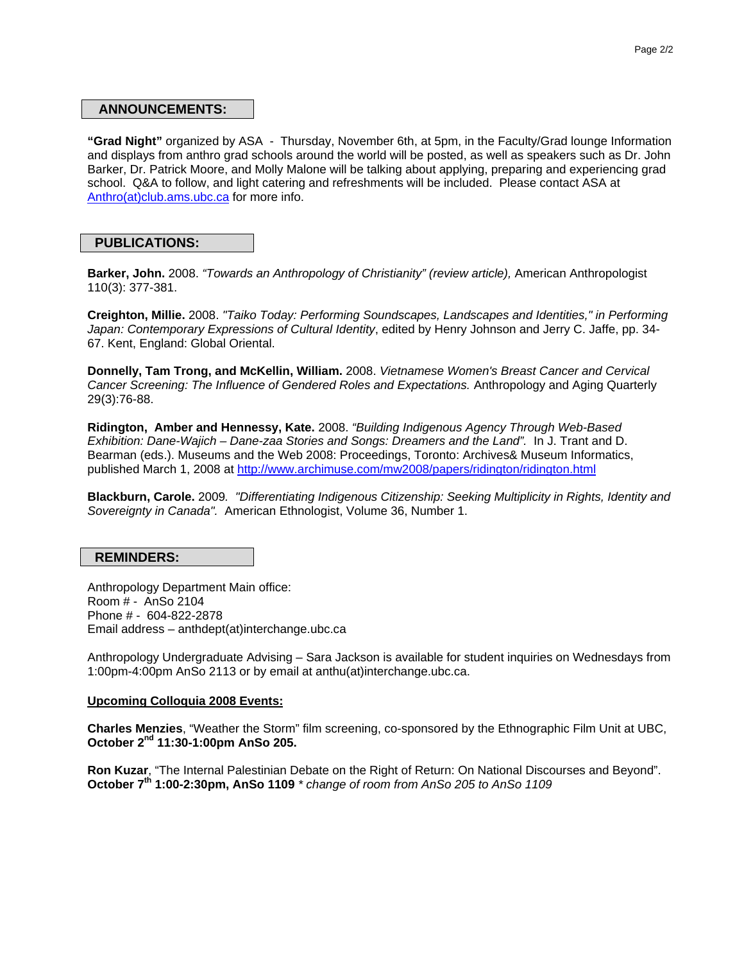#### **ANNOUNCEMENTS:**

**"Grad Night"** organized by ASA - Thursday, November 6th, at 5pm, in the Faculty/Grad lounge Information and displays from anthro grad schools around the world will be posted, as well as speakers such as Dr. John Barker, Dr. Patrick Moore, and Molly Malone will be talking about applying, preparing and experiencing grad school. Q&A to follow, and light catering and refreshments will be included. Please contact ASA at [Anthro\(at\)club.ams.ubc.ca](javascript:linkTo_UnCryptMailto() for more info.

#### **PUBLICATIONS:**

**Barker, John.** 2008. *"Towards an Anthropology of Christianity" (review article),* American Anthropologist 110(3): 377-381.

**Creighton, Millie.** 2008. *"Taiko Today: Performing Soundscapes, Landscapes and Identities," in Performing Japan: Contemporary Expressions of Cultural Identity*, edited by Henry Johnson and Jerry C. Jaffe, pp. 34- 67. Kent, England: Global Oriental.

**Donnelly, Tam Trong, and McKellin, William.** 2008. *Vietnamese Women's Breast Cancer and Cervical Cancer Screening: The Influence of Gendered Roles and Expectations.* Anthropology and Aging Quarterly 29(3):76-88.

**Ridington, Amber and Hennessy, Kate.** 2008. *"Building Indigenous Agency Through Web-Based Exhibition: Dane-Wajich – Dane-zaa Stories and Songs: Dreamers and the Land".* In J. Trant and D. Bearman (eds.). Museums and the Web 2008: Proceedings, Toronto: Archives& Museum Informatics, published March 1, 2008 at <http://www.archimuse.com/mw2008/papers/ridington/ridington.html>

**Blackburn, Carole.** 2009*. "Differentiating Indigenous Citizenship: Seeking Multiplicity in Rights, Identity and Sovereignty in Canada".* American Ethnologist, Volume 36, Number 1.

#### **REMINDERS:**

Anthropology Department Main office: Room # - AnSo 2104 Phone # - 604-822-2878 Email address – anthdept(at)interchange.ubc.ca

Anthropology Undergraduate Advising – Sara Jackson is available for student inquiries on Wednesdays from 1:00pm-4:00pm AnSo 2113 or by email at anthu(at)interchange.ubc.ca.

#### **Upcoming Colloquia 2008 Events:**

**Charles Menzies**, "Weather the Storm" film screening, co-sponsored by the Ethnographic Film Unit at UBC, **October 2nd 11:30-1:00pm AnSo 205.** 

**Ron Kuzar**, "The Internal Palestinian Debate on the Right of Return: On National Discourses and Beyond". **October 7th 1:00-2:30pm, AnSo 1109** *\* change of room from AnSo 205 to AnSo 1109*